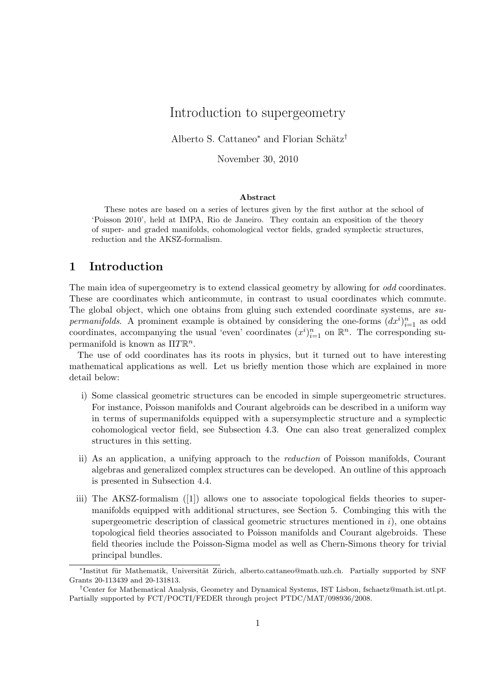# Introduction to supergeometry

Alberto S. Cattaneo<sup>∗</sup> and Florian Schätz<sup>†</sup>

November 30, 2010

#### Abstract

These notes are based on a series of lectures given by the first author at the school of 'Poisson 2010', held at IMPA, Rio de Janeiro. They contain an exposition of the theory of super- and graded manifolds, cohomological vector fields, graded symplectic structures, reduction and the AKSZ-formalism.

## 1 Introduction

The main idea of supergeometry is to extend classical geometry by allowing for *odd* coordinates. These are coordinates which anticommute, in contrast to usual coordinates which commute. The global object, which one obtains from gluing such extended coordinate systems, are supermanifolds. A prominent example is obtained by considering the one-forms  $(dx<sup>i</sup>)<sub>i=1</sub><sup>n</sup>$  as odd coordinates, accompanying the usual 'even' coordinates  $(x^i)_{i=1}^n$  on  $\mathbb{R}^n$ . The corresponding supermanifold is known as  $\Pi T \mathbb{R}^n$ .

The use of odd coordinates has its roots in physics, but it turned out to have interesting mathematical applications as well. Let us briefly mention those which are explained in more detail below:

- i) Some classical geometric structures can be encoded in simple supergeometric structures. For instance, Poisson manifolds and Courant algebroids can be described in a uniform way in terms of supermanifolds equipped with a supersymplectic structure and a symplectic cohomological vector field, see Subsection 4.3. One can also treat generalized complex structures in this setting.
- ii) As an application, a unifying approach to the reduction of Poisson manifolds, Courant algebras and generalized complex structures can be developed. An outline of this approach is presented in Subsection 4.4.
- iii) The AKSZ-formalism ([1]) allows one to associate topological fields theories to supermanifolds equipped with additional structures, see Section 5. Combinging this with the supergeometric description of classical geometric structures mentioned in  $i$ ), one obtains topological field theories associated to Poisson manifolds and Courant algebroids. These field theories include the Poisson-Sigma model as well as Chern-Simons theory for trivial principal bundles.

<sup>\*</sup>Institut für Mathematik, Universität Zürich, alberto.cattaneo@math.uzh.ch. Partially supported by SNF Grants 20-113439 and 20-131813.

<sup>†</sup>Center for Mathematical Analysis, Geometry and Dynamical Systems, IST Lisbon, fschaetz@math.ist.utl.pt. Partially supported by FCT/POCTI/FEDER through project PTDC/MAT/098936/2008.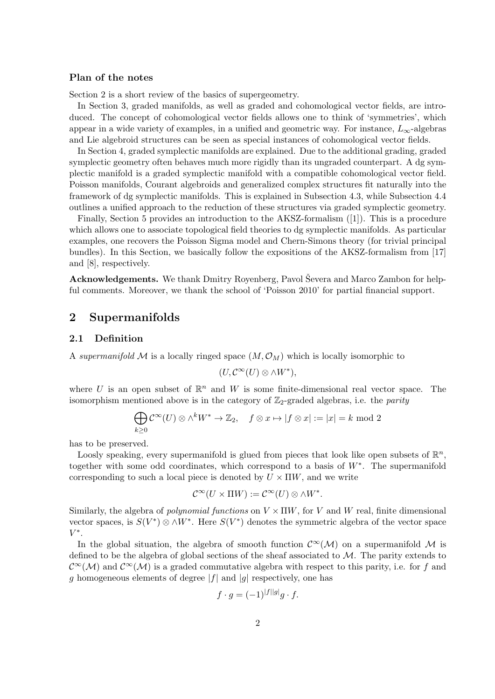## Plan of the notes

Section 2 is a short review of the basics of supergeometry.

In Section 3, graded manifolds, as well as graded and cohomological vector fields, are introduced. The concept of cohomological vector fields allows one to think of 'symmetries', which appear in a wide variety of examples, in a unified and geometric way. For instance,  $L_{\infty}$ -algebras and Lie algebroid structures can be seen as special instances of cohomological vector fields.

In Section 4, graded symplectic manifolds are explained. Due to the additional grading, graded symplectic geometry often behaves much more rigidly than its ungraded counterpart. A dg symplectic manifold is a graded symplectic manifold with a compatible cohomological vector field. Poisson manifolds, Courant algebroids and generalized complex structures fit naturally into the framework of dg symplectic manifolds. This is explained in Subsection 4.3, while Subsection 4.4 outlines a unified approach to the reduction of these structures via graded symplectic geometry.

Finally, Section 5 provides an introduction to the AKSZ-formalism ([1]). This is a procedure which allows one to associate topological field theories to dg symplectic manifolds. As particular examples, one recovers the Poisson Sigma model and Chern-Simons theory (for trivial principal bundles). In this Section, we basically follow the expositions of the AKSZ-formalism from [17] and [8], respectively.

Acknowledgements. We thank Dmitry Royenberg, Pavol Ševera and Marco Zambon for helpful comments. Moreover, we thank the school of 'Poisson 2010' for partial financial support.

## 2 Supermanifolds

### 2.1 Definition

A supermanifold M is a locally ringed space  $(M, \mathcal{O}_M)$  which is locally isomorphic to

$$
(U,\mathcal{C}^{\infty}(U)\otimes \wedge W^*),
$$

where U is an open subset of  $\mathbb{R}^n$  and W is some finite-dimensional real vector space. The isomorphism mentioned above is in the category of  $\mathbb{Z}_2$ -graded algebras, i.e. the *parity* 

$$
\bigoplus_{k\geq 0} \mathcal{C}^{\infty}(U) \otimes \wedge^k W^* \to \mathbb{Z}_2, \quad f \otimes x \mapsto |f \otimes x| := |x| = k \text{ mod } 2
$$

has to be preserved.

Loosly speaking, every supermanifold is glued from pieces that look like open subsets of  $\mathbb{R}^n$ , together with some odd coordinates, which correspond to a basis of W<sup>∗</sup> . The supermanifold corresponding to such a local piece is denoted by  $U \times \Pi W$ , and we write

$$
\mathcal{C}^{\infty}(U \times \Pi W) := \mathcal{C}^{\infty}(U) \otimes \wedge W^*.
$$

Similarly, the algebra of *polynomial functions* on  $V \times \Pi W$ , for V and W real, finite dimensional vector spaces, is  $S(V^*)\otimes \wedge W^*$ . Here  $S(V^*)$  denotes the symmetric algebra of the vector space  $V^*$ .

In the global situation, the algebra of smooth function  $\mathcal{C}^{\infty}(\mathcal{M})$  on a supermanifold M is defined to be the algebra of global sections of the sheaf associated to  $\mathcal{M}$ . The parity extends to  $\mathcal{C}^{\infty}(\mathcal{M})$  and  $\mathcal{C}^{\infty}(\mathcal{M})$  is a graded commutative algebra with respect to this parity, i.e. for f and g homogeneous elements of degree  $|f|$  and  $|g|$  respectively, one has

$$
f \cdot g = (-1)^{|f||g|} g \cdot f.
$$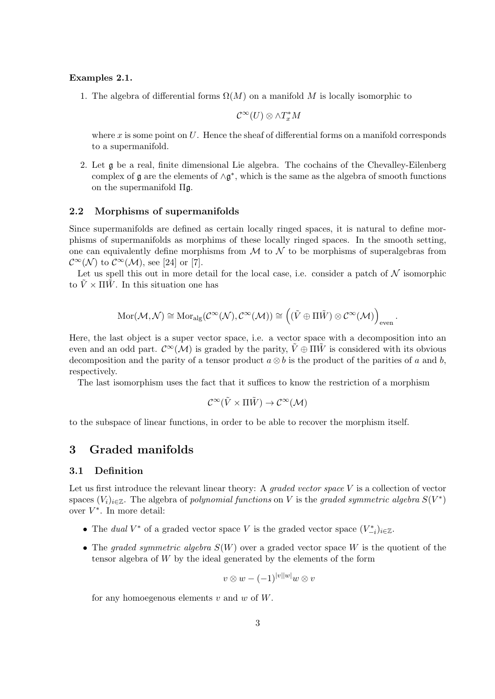#### Examples 2.1.

1. The algebra of differential forms  $\Omega(M)$  on a manifold M is locally isomorphic to

$$
\mathcal{C}^{\infty}(U)\otimes \wedge T_x^*M
$$

where x is some point on  $U$ . Hence the sheaf of differential forms on a manifold corresponds to a supermanifold.

2. Let g be a real, finite dimensional Lie algebra. The cochains of the Chevalley-Eilenberg complex of  $\mathfrak g$  are the elements of  $\wedge \mathfrak g^*$ , which is the same as the algebra of smooth functions on the supermanifold Πg.

#### 2.2 Morphisms of supermanifolds

Since supermanifolds are defined as certain locally ringed spaces, it is natural to define morphisms of supermanifolds as morphims of these locally ringed spaces. In the smooth setting, one can equivalently define morphisms from  $\mathcal M$  to  $\mathcal N$  to be morphisms of superalgebras from  $\mathcal{C}^{\infty}(\mathcal{N})$  to  $\mathcal{C}^{\infty}(\mathcal{M})$ , see [24] or [7].

Let us spell this out in more detail for the local case, i.e. consider a patch of  $\mathcal N$  isomorphic to  $\bar{V} \times \Pi \bar{W}$ . In this situation one has

$$
\mathrm{Mor}(\mathcal{M},\mathcal{N})\cong \mathrm{Mor}_{\mathrm{alg}}(\mathcal{C}^{\infty}(\mathcal{N}),\mathcal{C}^{\infty}(\mathcal{M}))\cong \left((\tilde{V}\oplus\Pi\tilde{W})\otimes\mathcal{C}^{\infty}(\mathcal{M})\right)_{\mathrm{even}}
$$

.

Here, the last object is a super vector space, i.e. a vector space with a decomposition into an even and an odd part.  $\mathcal{C}^{\infty}(\mathcal{M})$  is graded by the parity,  $\tilde{V} \oplus \Pi \tilde{W}$  is considered with its obvious decomposition and the parity of a tensor product  $a \otimes b$  is the product of the parities of a and b, respectively.

The last isomorphism uses the fact that it suffices to know the restriction of a morphism

$$
\mathcal{C}^{\infty}(\tilde{V} \times \Pi \tilde{W}) \to \mathcal{C}^{\infty}(\mathcal{M})
$$

to the subspace of linear functions, in order to be able to recover the morphism itself.

## 3 Graded manifolds

## 3.1 Definition

Let us first introduce the relevant linear theory: A *graded vector space*  $V$  is a collection of vector spaces  $(V_i)_{i\in\mathbb{Z}}$ . The algebra of polynomial functions on V is the graded symmetric algebra  $S(V^*)$ over  $V^*$ . In more detail:

- The dual  $V^*$  of a graded vector space V is the graded vector space  $(V_{-i}^*)_{i\in\mathbb{Z}}$ .
- The graded symmetric algebra  $S(W)$  over a graded vector space W is the quotient of the tensor algebra of W by the ideal generated by the elements of the form

$$
v\otimes w - (-1)^{|v||w|}w\otimes v
$$

for any homoegenous elements  $v$  and  $w$  of  $W$ .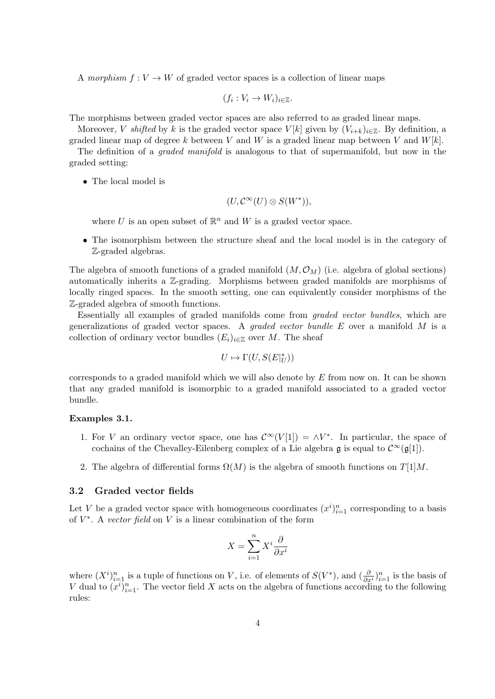A morphism  $f: V \to W$  of graded vector spaces is a collection of linear maps

$$
(f_i: V_i \to W_i)_{i \in \mathbb{Z}}.
$$

The morphisms between graded vector spaces are also referred to as graded linear maps.

Moreover, V shifted by k is the graded vector space  $V[k]$  given by  $(V_{i+k})_{i\in\mathbb{Z}}$ . By definition, a graded linear map of degree k between V and W is a graded linear map between V and  $W[k]$ .

The definition of a *graded manifold* is analogous to that of supermanifold, but now in the graded setting:

• The local model is

$$
(U,\mathcal{C}^{\infty}(U)\otimes S(W^*)),
$$

where U is an open subset of  $\mathbb{R}^n$  and W is a graded vector space.

• The isomorphism between the structure sheaf and the local model is in the category of Z-graded algebras.

The algebra of smooth functions of a graded manifold  $(M, \mathcal{O}_M)$  (i.e. algebra of global sections) automatically inherits a Z-grading. Morphisms between graded manifolds are morphisms of locally ringed spaces. In the smooth setting, one can equivalently consider morphisms of the Z-graded algebra of smooth functions.

Essentially all examples of graded manifolds come from graded vector bundles, which are generalizations of graded vector spaces. A *graded vector bundle E* over a manifold  $M$  is a collection of ordinary vector bundles  $(E_i)_{i\in\mathbb{Z}}$  over M. The sheaf

$$
U\mapsto \Gamma(U,S(E|_U^*))
$$

corresponds to a graded manifold which we will also denote by  $E$  from now on. It can be shown that any graded manifold is isomorphic to a graded manifold associated to a graded vector bundle.

#### Examples 3.1.

- 1. For V an ordinary vector space, one has  $\mathcal{C}^{\infty}(V[1]) = \wedge V^*$ . In particular, the space of cochains of the Chevalley-Eilenberg complex of a Lie algebra  $\mathfrak g$  is equal to  $\mathcal{C}^{\infty}(\mathfrak g[1]).$
- 2. The algebra of differential forms  $\Omega(M)$  is the algebra of smooth functions on  $T[1]M$ .

#### 3.2 Graded vector fields

Let V be a graded vector space with homogeneous coordinates  $(x^i)_{i=1}^n$  corresponding to a basis of  $V^*$ . A vector field on V is a linear combination of the form

$$
X = \sum_{i=1}^{n} X^i \frac{\partial}{\partial x^i}
$$

where  $(X^i)_{i=1}^n$  is a tuple of functions on V, i.e. of elements of  $S(V^*)$ , and  $(\frac{\partial}{\partial x^i})_{i=1}^n$  is the basis of V dual to  $(x^{i})_{i=1}^{n}$ . The vector field X acts on the algebra of functions according to the following rules: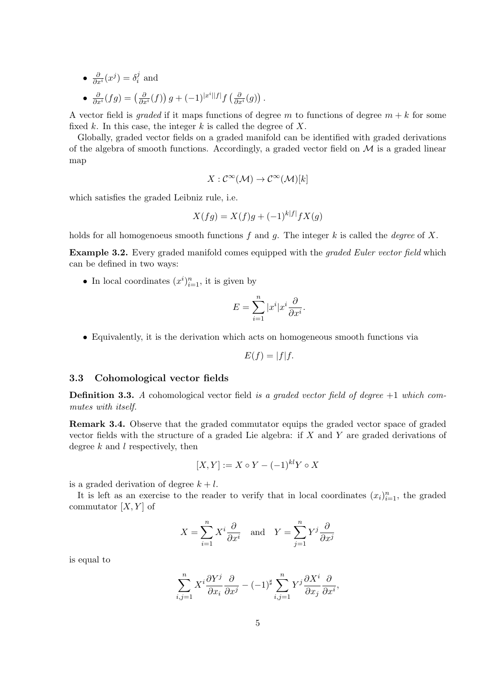- $\frac{\partial}{\partial x^i}(x^j) = \delta_i^j$  $i^j$  and
- $\frac{\partial}{\partial x^i}(fg) = \left(\frac{\partial}{\partial x^i}(f)\right)g + (-1)^{|x^i||f|}f\left(\frac{\partial}{\partial x^i}(g)\right).$

A vector field is graded if it maps functions of degree m to functions of degree  $m + k$  for some fixed k. In this case, the integer k is called the degree of  $X$ .

Globally, graded vector fields on a graded manifold can be identified with graded derivations of the algebra of smooth functions. Accordingly, a graded vector field on  $\mathcal M$  is a graded linear map

$$
X: \mathcal{C}^{\infty}(\mathcal{M}) \to \mathcal{C}^{\infty}(\mathcal{M})[k]
$$

which satisfies the graded Leibniz rule, i.e.

$$
X(fg) = X(f)g + (-1)^{k|f|} fX(g)
$$

holds for all homogenoeus smooth functions f and g. The integer k is called the degree of X.

**Example 3.2.** Every graded manifold comes equipped with the *graded Euler vector field* which can be defined in two ways:

• In local coordinates  $(x^i)_{i=1}^n$ , it is given by

$$
E = \sum_{i=1}^{n} |x^{i}| x^{i} \frac{\partial}{\partial x^{i}}.
$$

• Equivalently, it is the derivation which acts on homogeneous smooth functions via

$$
E(f) = |f|f.
$$

## 3.3 Cohomological vector fields

**Definition 3.3.** A cohomological vector field is a graded vector field of degree  $+1$  which commutes with itself.

Remark 3.4. Observe that the graded commutator equips the graded vector space of graded vector fields with the structure of a graded Lie algebra: if  $X$  and  $Y$  are graded derivations of degree  $k$  and  $l$  respectively, then

$$
[X,Y] := X \circ Y - (-1)^{kl} Y \circ X
$$

is a graded derivation of degree  $k + l$ .

It is left as an exercise to the reader to verify that in local coordinates  $(x_i)_{i=1}^n$ , the graded commutator  $[X, Y]$  of

$$
X = \sum_{i=1}^{n} X^i \frac{\partial}{\partial x^i} \quad \text{and} \quad Y = \sum_{j=1}^{n} Y^j \frac{\partial}{\partial x^j}
$$

is equal to

$$
\sum_{i,j=1}^n X^i \frac{\partial Y^j}{\partial x_i} \frac{\partial}{\partial x^j} - (-1)^{\sharp} \sum_{i,j=1}^n Y^j \frac{\partial X^i}{\partial x_j} \frac{\partial}{\partial x^i},
$$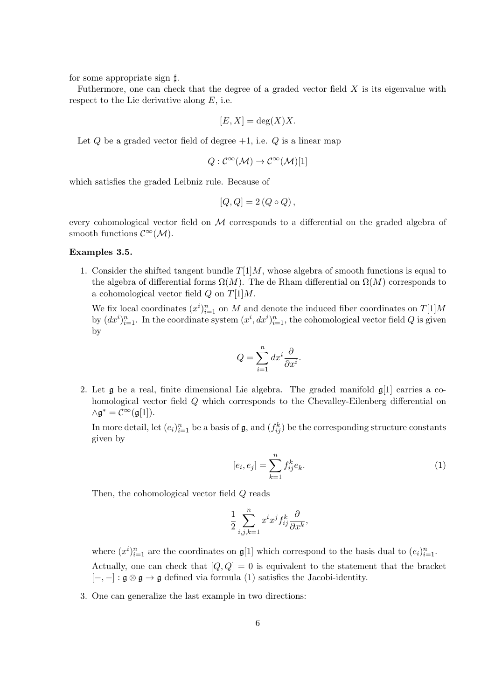for some appropriate sign  $\sharp$ .

Futhermore, one can check that the degree of a graded vector field  $X$  is its eigenvalue with respect to the Lie derivative along  $E$ , i.e.

$$
[E, X] = \deg(X)X.
$$

Let  $Q$  be a graded vector field of degree  $+1$ , i.e.  $Q$  is a linear map

$$
Q: \mathcal{C}^{\infty}(\mathcal{M}) \to \mathcal{C}^{\infty}(\mathcal{M})[1]
$$

which satisfies the graded Leibniz rule. Because of

$$
[Q, Q] = 2(Q \circ Q),
$$

every cohomological vector field on  $\mathcal M$  corresponds to a differential on the graded algebra of smooth functions  $\mathcal{C}^{\infty}(\mathcal{M})$ .

## Examples 3.5.

1. Consider the shifted tangent bundle  $T[1]M$ , whose algebra of smooth functions is equal to the algebra of differential forms  $\Omega(M)$ . The de Rham differential on  $\Omega(M)$  corresponds to a cohomological vector field  $Q$  on  $T[1]M$ .

We fix local coordinates  $(x^i)_{i=1}^n$  on M and denote the induced fiber coordinates on  $T[1]M$ by  $(dx^i)_{i=1}^n$ . In the coordinate system  $(x^i, dx^i)_{i=1}^n$ , the cohomological vector field Q is given by

$$
Q = \sum_{i=1}^{n} dx^{i} \frac{\partial}{\partial x^{i}}.
$$

2. Let  $\mathfrak g$  be a real, finite dimensional Lie algebra. The graded manifold  $\mathfrak g[1]$  carries a cohomological vector field Q which corresponds to the Chevalley-Eilenberg differential on  $\wedge \mathfrak{g}^* = \mathcal{C}^{\infty}(\mathfrak{g}[1]).$ 

In more detail, let  $(e_i)_{i=1}^n$  be a basis of  $\mathfrak{g}$ , and  $(f_{ij}^k)$  be the corresponding structure constants given by

$$
[e_i, e_j] = \sum_{k=1}^{n} f_{ij}^k e_k.
$$
 (1)

Then, the cohomological vector field Q reads

$$
\frac{1}{2} \sum_{i,j,k=1}^n x^i x^j f_{ij}^k \frac{\partial}{\partial x^k},
$$

where  $(x^i)_{i=1}^n$  are the coordinates on  $\mathfrak{g}[1]$  which correspond to the basis dual to  $(e_i)_{i=1}^n$ . Actually, one can check that  $[Q, Q] = 0$  is equivalent to the statement that the bracket  $[-, -]: \mathfrak{g} \otimes \mathfrak{g} \rightarrow \mathfrak{g}$  defined via formula (1) satisfies the Jacobi-identity.

3. One can generalize the last example in two directions: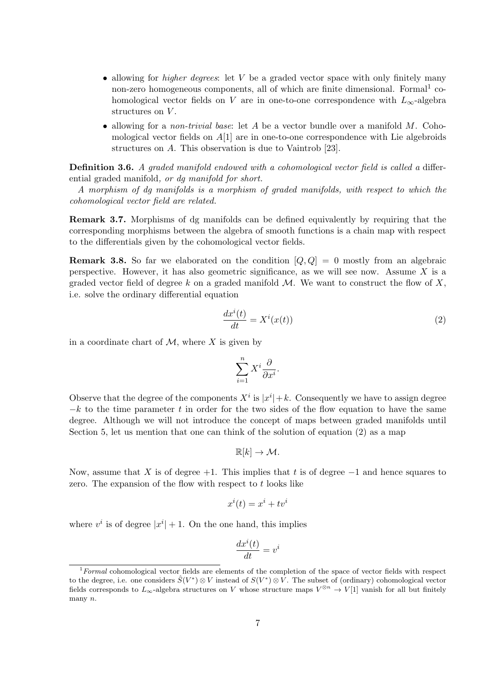- allowing for *higher degrees*: let  $V$  be a graded vector space with only finitely many non-zero homogeneous components, all of which are finite dimensional. Formal<sup>1</sup> cohomological vector fields on V are in one-to-one correspondence with  $L_{\infty}$ -algebra structures on V.
- allowing for a *non-trivial base*: let A be a vector bundle over a manifold M. Cohomological vector fields on  $A[1]$  are in one-to-one correspondence with Lie algebroids structures on A. This observation is due to Vaintrob [23].

Definition 3.6. A graded manifold endowed with a cohomological vector field is called a differential graded manifold, *or da manifold for short*.

A morphism of dg manifolds is a morphism of graded manifolds, with respect to which the cohomological vector field are related.

Remark 3.7. Morphisms of dg manifolds can be defined equivalently by requiring that the corresponding morphisms between the algebra of smooth functions is a chain map with respect to the differentials given by the cohomological vector fields.

**Remark 3.8.** So far we elaborated on the condition  $[Q, Q] = 0$  mostly from an algebraic perspective. However, it has also geometric significance, as we will see now. Assume  $X$  is a graded vector field of degree k on a graded manifold  $\mathcal{M}$ . We want to construct the flow of X, i.e. solve the ordinary differential equation

$$
\frac{dx^{i}(t)}{dt} = X^{i}(x(t))
$$
\n(2)

in a coordinate chart of  $\mathcal M$ , where X is given by

$$
\sum_{i=1}^{n} X^i \frac{\partial}{\partial x^i}.
$$

Observe that the degree of the components  $X^i$  is  $|x^i|+k$ . Consequently we have to assign degree  $-k$  to the time parameter t in order for the two sides of the flow equation to have the same degree. Although we will not introduce the concept of maps between graded manifolds until Section 5, let us mention that one can think of the solution of equation (2) as a map

$$
\mathbb{R}[k] \to \mathcal{M}.
$$

Now, assume that X is of degree  $+1$ . This implies that t is of degree  $-1$  and hence squares to zero. The expansion of the flow with respect to t looks like

$$
x^i(t) = x^i + tv^i
$$

where  $v^i$  is of degree  $|x^i| + 1$ . On the one hand, this implies

$$
\frac{dx^i(t)}{dt} = v^i
$$

 $1$ -Formal cohomological vector fields are elements of the completion of the space of vector fields with respect to the degree, i.e. one considers  $\hat{S}(V^*)\otimes V$  instead of  $S(V^*)\otimes V$ . The subset of (ordinary) cohomological vector fields corresponds to  $L_{\infty}$ -algebra structures on V whose structure maps  $V^{\otimes n} \to V[1]$  vanish for all but finitely many n.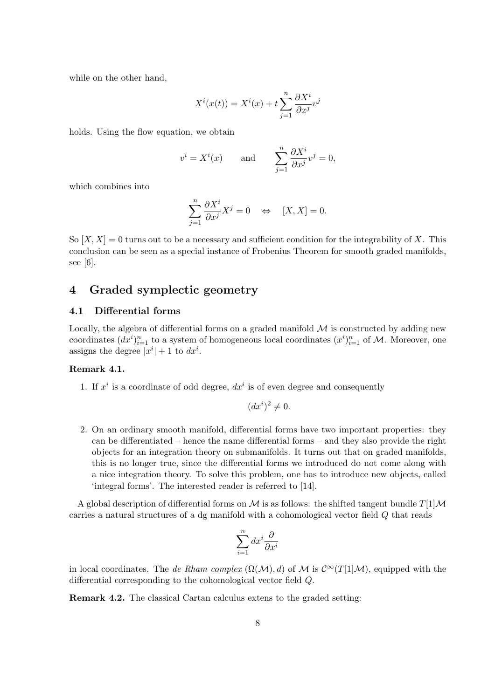while on the other hand,

$$
X^{i}(x(t)) = X^{i}(x) + t \sum_{j=1}^{n} \frac{\partial X^{i}}{\partial x^{j}} v^{j}
$$

holds. Using the flow equation, we obtain

$$
v^{i} = X^{i}(x)
$$
 and  $\sum_{j=1}^{n} \frac{\partial X^{i}}{\partial x^{j}} v^{j} = 0$ ,

which combines into

$$
\sum_{j=1}^{n} \frac{\partial X^{i}}{\partial x^{j}} X^{j} = 0 \quad \Leftrightarrow \quad [X, X] = 0.
$$

So  $[X, X] = 0$  turns out to be a necessary and sufficient condition for the integrability of X. This conclusion can be seen as a special instance of Frobenius Theorem for smooth graded manifolds, see [6].

## 4 Graded symplectic geometry

### 4.1 Differential forms

Locally, the algebra of differential forms on a graded manifold  $\mathcal M$  is constructed by adding new coordinates  $(dx^i)_{i=1}^n$  to a system of homogeneous local coordinates  $(x^i)_{i=1}^n$  of M. Moreover, one assigns the degree  $|x^{i}|+1$  to  $dx^{i}$ .

## Remark 4.1.

1. If  $x^i$  is a coordinate of odd degree,  $dx^i$  is of even degree and consequently

$$
(dx^i)^2 \neq 0.
$$

2. On an ordinary smooth manifold, differential forms have two important properties: they can be differentiated – hence the name differential forms – and they also provide the right objects for an integration theory on submanifolds. It turns out that on graded manifolds, this is no longer true, since the differential forms we introduced do not come along with a nice integration theory. To solve this problem, one has to introduce new objects, called 'integral forms'. The interested reader is referred to [14].

A global description of differential forms on M is as follows: the shifted tangent bundle  $T[1]\mathcal{M}$ carries a natural structures of a dg manifold with a cohomological vector field Q that reads

$$
\sum_{i=1}^{n} dx^{i} \frac{\partial}{\partial x^{i}}
$$

in local coordinates. The de Rham complex  $(\Omega(M), d)$  of M is  $\mathcal{C}^{\infty}(T[1]\mathcal{M})$ , equipped with the differential corresponding to the cohomological vector field Q.

Remark 4.2. The classical Cartan calculus extens to the graded setting: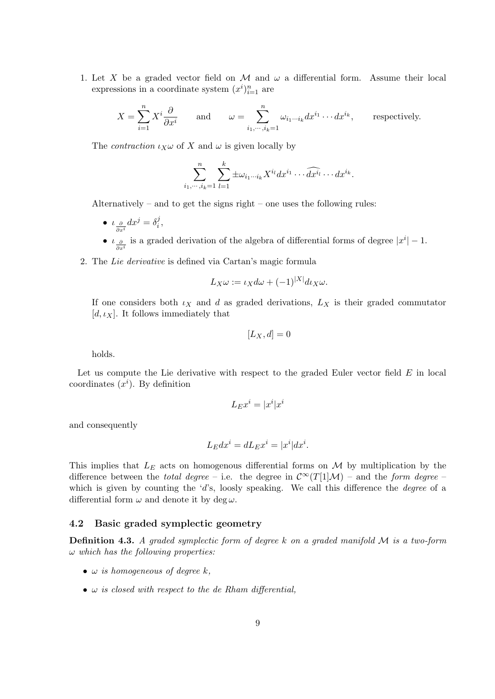1. Let X be a graded vector field on M and  $\omega$  a differential form. Assume their local expressions in a coordinate system  $(x^i)_{i=1}^n$  are

$$
X = \sum_{i=1}^{n} X^i \frac{\partial}{\partial x^i} \quad \text{and} \quad \omega = \sum_{i_1, \dots, i_k=1}^{n} \omega_{i_1 \dots i_k} dx^{i_1} \dots dx^{i_k}, \quad \text{respectively.}
$$

The *contraction*  $\iota_X \omega$  of X and  $\omega$  is given locally by

$$
\sum_{i_1,\dots,i_k=1}^n\sum_{l=1}^k \pm \omega_{i_1\cdots i_k}X^{i_l}dx^{i_1}\cdots \widehat{dx^{i_l}}\cdots dx^{i_k}.
$$

Alternatively – and to get the signs right – one uses the following rules:

- $\iota_{\frac{\partial}{\partial x^i}} dx^j = \delta_i^j$  $\frac{j}{i}$ ,
- $\iota_{\frac{\partial}{\partial x^i}}$  is a graded derivation of the algebra of differential forms of degree  $|x^i| 1$ .
- 2. The Lie derivative is defined via Cartan's magic formula

$$
L_X \omega := \iota_X d\omega + (-1)^{|X|} d\iota_X \omega.
$$

If one considers both  $\iota_X$  and d as graded derivations,  $L_X$  is their graded commutator [d,  $\iota_X$ ]. It follows immediately that

$$
[L_X, d] = 0
$$

holds.

Let us compute the Lie derivative with respect to the graded Euler vector field  $E$  in local coordinates  $(x<sup>i</sup>)$ . By definition

$$
L_E x^i = |x^i| x^i
$$

and consequently

$$
L_E dx^i = dL_E x^i = |x^i| dx^i.
$$

This implies that  $L_E$  acts on homogenous differential forms on  $\mathcal M$  by multiplication by the difference between the *total degree* – i.e. the degree in  $\mathcal{C}^{\infty}(T[1]\mathcal{M})$  – and the *form degree* – which is given by counting the 'd's, loosly speaking. We call this difference the *degree* of a differential form  $\omega$  and denote it by deg  $\omega$ .

## 4.2 Basic graded symplectic geometry

**Definition 4.3.** A graded symplectic form of degree k on a graded manifold  $M$  is a two-form  $\omega$  which has the following properties:

- $\omega$  is homogeneous of degree k,
- $\omega$  is closed with respect to the de Rham differential,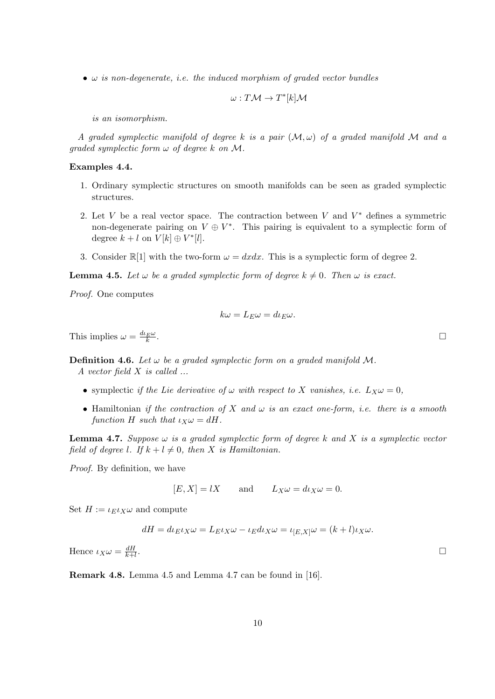$\bullet$   $\omega$  is non-degenerate, i.e. the induced morphism of graded vector bundles

$$
\omega: T\mathcal{M} \to T^*[k]\mathcal{M}
$$

is an isomorphism.

A graded symplectic manifold of degree k is a pair  $(M, \omega)$  of a graded manifold M and a graded symplectic form  $\omega$  of degree k on M.

## Examples 4.4.

- 1. Ordinary symplectic structures on smooth manifolds can be seen as graded symplectic structures.
- 2. Let V be a real vector space. The contraction between V and  $V^*$  defines a symmetric non-degenerate pairing on  $V \oplus V^*$ . This pairing is equivalent to a symplectic form of degree  $k+l$  on  $V[k] \oplus V^*[l]$ .
- 3. Consider  $\mathbb{R}[1]$  with the two-form  $\omega = dxdx$ . This is a symplectic form of degree 2.

**Lemma 4.5.** Let  $\omega$  be a graded symplectic form of degree  $k \neq 0$ . Then  $\omega$  is exact.

Proof. One computes

$$
k\omega = L_E \omega = d\iota_E \omega.
$$

This implies  $\omega = \frac{d\iota_E \omega}{k}$ 

**Definition 4.6.** Let  $\omega$  be a graded symplectic form on a graded manifold M. A vector field X is called ...

- symplectic if the Lie derivative of  $\omega$  with respect to X vanishes, i.e.  $L_X \omega = 0$ ,
- Hamiltonian if the contraction of X and  $\omega$  is an exact one-form, i.e. there is a smooth function H such that  $\iota_X \omega = dH$ .

**Lemma 4.7.** Suppose  $\omega$  is a graded symplectic form of degree k and X is a symplectic vector field of degree l. If  $k + l \neq 0$ , then X is Hamiltonian.

Proof. By definition, we have

$$
[E, X] = lX \qquad \text{and} \qquad L_X \omega = d \iota_X \omega = 0.
$$

Set  $H := \iota_E \iota_X \omega$  and compute

$$
dH = d\iota_E \iota_X \omega = L_E \iota_X \omega - \iota_E d\iota_X \omega = \iota_{[E,X]} \omega = (k+l)\iota_X \omega.
$$

Hence  $\iota_X \omega = \frac{dH}{k+1}$  $k+l$ . The contract of the contract of the contract of the contract of the contract of the contract of the contract<br>The contract of the contract of the contract of the contract of the contract of the contract of the contract o

Remark 4.8. Lemma 4.5 and Lemma 4.7 can be found in [16].

. The contract of the contract of the contract of the contract of the contract of the contract of the contract<br>The contract of the contract of the contract of the contract of the contract of the contract of the contract o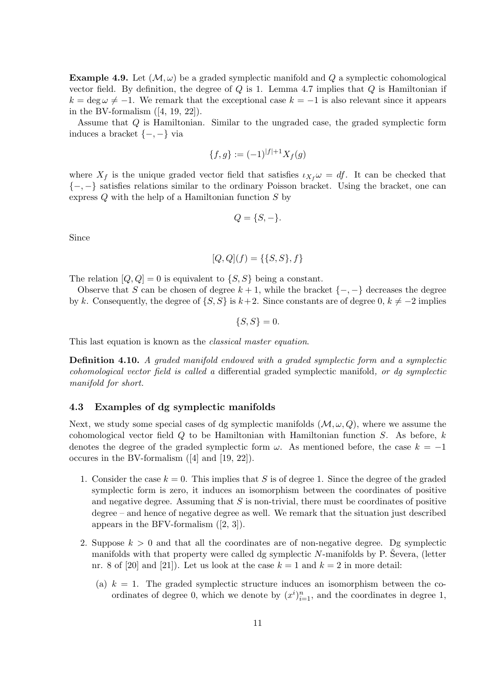**Example 4.9.** Let  $(\mathcal{M}, \omega)$  be a graded symplectic manifold and Q a symplectic cohomological vector field. By definition, the degree of  $Q$  is 1. Lemma 4.7 implies that  $Q$  is Hamiltonian if  $k = \deg \omega \neq -1$ . We remark that the exceptional case  $k = -1$  is also relevant since it appears in the BV-formalism  $([4, 19, 22])$ .

Assume that Q is Hamiltonian. Similar to the ungraded case, the graded symplectic form induces a bracket {−, −} via

$$
\{f,g\} := (-1)^{|f|+1} X_f(g)
$$

where  $X_f$  is the unique graded vector field that satisfies  $\iota_{X_f} \omega = df$ . It can be checked that {−, −} satisfies relations similar to the ordinary Poisson bracket. Using the bracket, one can express Q with the help of a Hamiltonian function S by

$$
Q = \{S, -\}.
$$

Since

$$
[Q, Q](f) = \{\{S, S\}, f\}
$$

The relation  $[Q, Q] = 0$  is equivalent to  $\{S, S\}$  being a constant.

Observe that S can be chosen of degree  $k + 1$ , while the bracket  $\{-, -\}$  decreases the degree by k. Consequently, the degree of  $\{S, S\}$  is  $k+2$ . Since constants are of degree 0,  $k \neq -2$  implies

 $\{S, S\} = 0.$ 

This last equation is known as the *classical master equation*.

Definition 4.10. A graded manifold endowed with a graded symplectic form and a symplectic cohomological vector field is called a differential graded symplectic manifold, or dg symplectic manifold for short.

## 4.3 Examples of dg symplectic manifolds

Next, we study some special cases of dg symplectic manifolds  $(M, \omega, Q)$ , where we assume the cohomological vector field  $Q$  to be Hamiltonian with Hamiltonian function  $S$ . As before,  $k$ denotes the degree of the graded symplectic form  $\omega$ . As mentioned before, the case  $k = -1$ occures in the BV-formalism ([4] and [19, 22]).

- 1. Consider the case  $k = 0$ . This implies that S is of degree 1. Since the degree of the graded symplectic form is zero, it induces an isomorphism between the coordinates of positive and negative degree. Assuming that  $S$  is non-trivial, there must be coordinates of positive degree – and hence of negative degree as well. We remark that the situation just described appears in the BFV-formalism ([2, 3]).
- 2. Suppose  $k > 0$  and that all the coordinates are of non-negative degree. Dg symplectic manifolds with that property were called dg symplectic  $N$ -manifolds by P. Severa, (letter nr. 8 of [20] and [21]). Let us look at the case  $k = 1$  and  $k = 2$  in more detail:
	- (a)  $k = 1$ . The graded symplectic structure induces an isomorphism between the coordinates of degree 0, which we denote by  $(x^i)_{i=1}^n$ , and the coordinates in degree 1,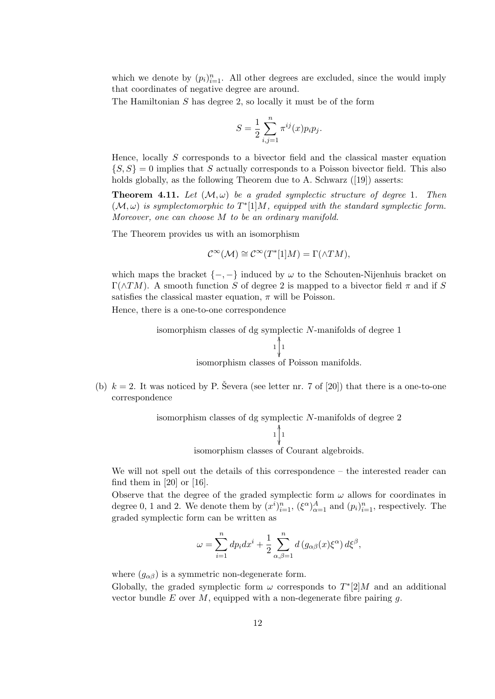which we denote by  $(p_i)_{i=1}^n$ . All other degrees are excluded, since the would imply that coordinates of negative degree are around.

The Hamiltonian S has degree 2, so locally it must be of the form

$$
S = \frac{1}{2} \sum_{i,j=1}^{n} \pi^{ij}(x) p_i p_j.
$$

Hence, locally  $S$  corresponds to a bivector field and the classical master equation  $\{S, S\} = 0$  implies that S actually corresponds to a Poisson bivector field. This also holds globally, as the following Theorem due to A. Schwarz ([19]) asserts:

**Theorem 4.11.** Let  $(\mathcal{M}, \omega)$  be a graded symplectic structure of degree 1. Then  $(M, \omega)$  is symplectomorphic to  $T^*$ [1] $M$ , equipped with the standard symplectic form. Moreover, one can choose M to be an ordinary manifold.

The Theorem provides us with an isomorphism

$$
\mathcal{C}^{\infty}(\mathcal{M}) \cong \mathcal{C}^{\infty}(T^{*}[1]M) = \Gamma(\wedge TM),
$$

which maps the bracket  $\{-, -\}$  induced by  $\omega$  to the Schouten-Nijenhuis bracket on Γ( $\Lambda TM$ ). A smooth function S of degree 2 is mapped to a bivector field π and if S satisfies the classical master equation,  $\pi$  will be Poisson.

Hence, there is a one-to-one correspondence



(b)  $k = 2$ . It was noticed by P. Severa (see letter nr. 7 of [20]) that there is a one-to-one correspondence

isomorphism classes of dg symplectic *N*-manifolds of degree 2  
\n
$$
\downarrow \qquad \qquad \downarrow \qquad \qquad \downarrow
$$
\n
$$
\downarrow
$$

isomorphism classes of Courant algebroids.

We will not spell out the details of this correspondence – the interested reader can find them in  $[20]$  or  $[16]$ .

Observe that the degree of the graded symplectic form  $\omega$  allows for coordinates in degree 0, 1 and 2. We denote them by  $(x^i)_{i=1}^n$ ,  $(\xi^{\alpha})_{\alpha=1}^A$  and  $(p_i)_{i=1}^n$ , respectively. The graded symplectic form can be written as

$$
\omega = \sum_{i=1}^n dp_i dx^i + \frac{1}{2} \sum_{\alpha,\beta=1}^n d(g_{\alpha\beta}(x)\xi^{\alpha}) d\xi^{\beta},
$$

where  $(g_{\alpha\beta})$  is a symmetric non-degenerate form.

Globally, the graded symplectic form  $\omega$  corresponds to  $T^*[2]M$  and an additional vector bundle  $E$  over  $M$ , equipped with a non-degenerate fibre pairing  $g$ .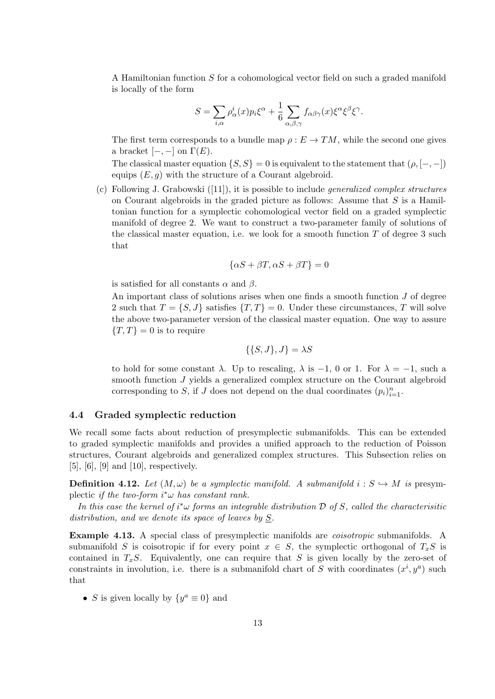A Hamiltonian function S for a cohomological vector field on such a graded manifold is locally of the form

$$
S = \sum_{i,\alpha} \rho_{\alpha}^{i}(x) p_{i} \xi^{\alpha} + \frac{1}{6} \sum_{\alpha,\beta,\gamma} f_{\alpha\beta\gamma}(x) \xi^{\alpha} \xi^{\beta} \xi^{\gamma}.
$$

The first term corresponds to a bundle map  $\rho : E \to TM$ , while the second one gives a bracket  $[-,-]$  on  $\Gamma(E)$ .

The classical master equation  $\{S, S\} = 0$  is equivalent to the statement that  $(\rho, [-, -])$ equips  $(E, g)$  with the structure of a Courant algebroid.

(c) Following J. Grabowski ([11]), it is possible to include generalized complex structures on Courant algebroids in the graded picture as follows: Assume that  $S$  is a Hamiltonian function for a symplectic cohomological vector field on a graded symplectic manifold of degree 2. We want to construct a two-parameter family of solutions of the classical master equation, i.e. we look for a smooth function  $T$  of degree 3 such that

$$
\{\alpha S + \beta T, \alpha S + \beta T\} = 0
$$

is satisfied for all constants  $\alpha$  and  $\beta$ .

An important class of solutions arises when one finds a smooth function  $J$  of degree 2 such that  $T = \{S, J\}$  satisfies  $\{T, T\} = 0$ . Under these circumstances, T will solve the above two-parameter version of the classical master equation. One way to assure  ${T, T} = 0$  is to require

$$
\{\{S, J\}, J\} = \lambda S
$$

to hold for some constant  $\lambda$ . Up to rescaling,  $\lambda$  is -1, 0 or 1. For  $\lambda = -1$ , such a smooth function J yields a generalized complex structure on the Courant algebroid corresponding to S, if J does not depend on the dual coordinates  $(p_i)_{i=1}^n$ .

### 4.4 Graded symplectic reduction

We recall some facts about reduction of presymplectic submanifolds. This can be extended to graded symplectic manifolds and provides a unified approach to the reduction of Poisson structures, Courant algebroids and generalized complex structures. This Subsection relies on [5], [6], [9] and [10], respectively.

**Definition 4.12.** Let  $(M, \omega)$  be a symplectic manifold. A submanifold  $i : S \hookrightarrow M$  is presymplectic if the two-form  $i^*\omega$  has constant rank.

In this case the kernel of  $i^*\omega$  forms an integrable distribution  $\mathcal D$  of S, called the characterisitic distribution, and we denote its space of leaves by  $S$ .

Example 4.13. A special class of presymplectic manifolds are *coisotropic* submanifolds. A submanifold S is coisotropic if for every point  $x \in S$ , the symplectic orthogonal of  $T_xS$  is contained in  $T_xS$ . Equivalently, one can require that S is given locally by the zero-set of constraints in involution, i.e. there is a submanifold chart of S with coordinates  $(x^i, y^a)$  such that

• S is given locally by  $\{y^a \equiv 0\}$  and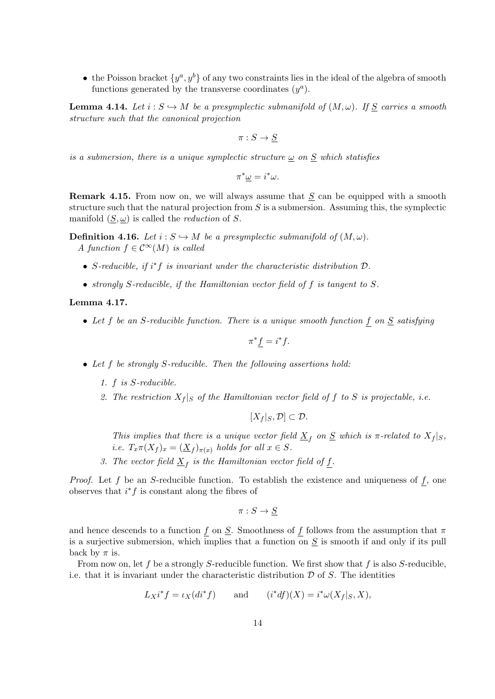• the Poisson bracket  $\{y^a, y^b\}$  of any two constraints lies in the ideal of the algebra of smooth functions generated by the transverse coordinates  $(y^a)$ .

**Lemma 4.14.** Let  $i : S \hookrightarrow M$  be a presymplectic submanifold of  $(M, \omega)$ . If  $S$  carries a smooth structure such that the canonical projection

 $\pi: S \to S$ 

is a submersion, there is a unique symplectic structure  $\underline{\omega}$  on  $\underline{S}$  which statisfies

 $\pi^*\underline{\omega} = i^*\omega.$ 

**Remark 4.15.** From now on, we will always assume that  $S$  can be equipped with a smooth structure such that the natural projection from  $S$  is a submersion. Assuming this, the symplectic manifold  $(S, \omega)$  is called the *reduction* of S.

**Definition 4.16.** Let  $i : S \hookrightarrow M$  be a presymplectic submanifold of  $(M, \omega)$ . A function  $f \in C^{\infty}(M)$  is called

- S-reducible, if  $i^*f$  is invariant under the characteristic distribution  $\mathcal{D}$ .
- strongly S-reducible, if the Hamiltonian vector field of f is tangent to S.

#### Lemma 4.17.

• Let f be an S-reducible function. There is a unique smooth function  $f$  on  $S$  satisfying

$$
\pi^* f = i^* f.
$$

- Let f be strongly S-reducible. Then the following assertions hold:
	- 1. f is S-reducible.
	- 2. The restriction  $X_f |_{S}$  of the Hamiltonian vector field of f to S is projectable, i.e.

$$
[X_f|_S,\mathcal{D}]\subset\mathcal{D}.
$$

This implies that there is a unique vector field  $\underline{X}_f$  on  $\underline{S}$  which is  $\pi$ -related to  $X_f|_S$ , *i.e.*  $T_x \pi(X_f)_x = (\underline{X}_f)_{\pi(x)}$  holds for all  $x \in S$ .

3. The vector field  $\underline{X}_f$  is the Hamiltonian vector field of  $\underline{f}$ .

*Proof.* Let f be an S-reducible function. To establish the existence and uniqueness of f, one observes that  $i^*f$  is constant along the fibres of

$$
\pi:S\to\underline{S}
$$

and hence descends to a function f on  $S$ . Smoothness of f follows from the assumption that  $\pi$ is a surjective submersion, which implies that a function on  $S$  is smooth if and only if its pull back by  $\pi$  is.

From now on, let f be a strongly S-reducible function. We first show that f is also S-reducible, i.e. that it is invariant under the characteristic distribution  $D$  of  $S$ . The identities

$$
L_X i^* f = \iota_X (di^* f) \qquad \text{and} \qquad (i^* df)(X) = i^* \omega(X_f |_{S}, X),
$$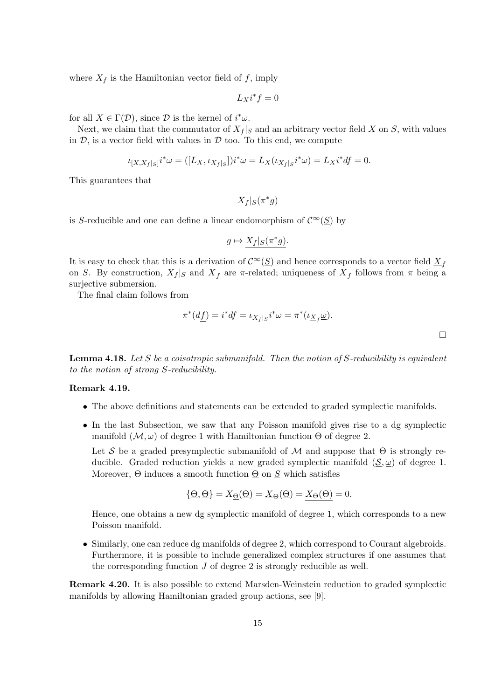where  $X_f$  is the Hamiltonian vector field of f, imply

$$
L_Xi^*f=0
$$

for all  $X \in \Gamma(\mathcal{D})$ , since  $\mathcal D$  is the kernel of  $i^*\omega$ .

Next, we claim that the commutator of  $X_f|_S$  and an arbitrary vector field X on S, with values in  $D$ , is a vector field with values in  $D$  too. To this end, we compute

$$
\iota_{[X,X_f]S}i^*\omega = ([L_X, \iota_{X_f]S}])i^*\omega = L_X(\iota_{X_f]S}i^*\omega) = L_Xi^*df = 0.
$$

This guarantees that

$$
X_f|_S(\pi^*g)
$$

is S-reducible and one can define a linear endomorphism of  $\mathcal{C}^{\infty}(\underline{S})$  by

$$
g \mapsto X_f|_S(\pi^*g).
$$

It is easy to check that this is a derivation of  $\mathcal{C}^{\infty}(\underline{S})$  and hence corresponds to a vector field  $\underline{X}_f$ on <u>S</u>. By construction,  $X_f|_S$  and  $\underline{X}_f$  are  $\pi$ -related; uniqueness of  $\underline{X}_f$  follows from  $\pi$  being a surjective submersion.

The final claim follows from

$$
\pi^*(d\underline{f}) = i^*df = \iota_{X_f|_S} i^*\omega = \pi^*(\iota_{\underline{X}_f}\underline{\omega}).
$$

**Lemma 4.18.** Let S be a coisotropic submanifold. Then the notion of S-reducibility is equivalent to the notion of strong S-reducibility.

## Remark 4.19.

- The above definitions and statements can be extended to graded symplectic manifolds.
- In the last Subsection, we saw that any Poisson manifold gives rise to a dg symplectic manifold  $(M, \omega)$  of degree 1 with Hamiltonian function  $\Theta$  of degree 2.

Let S be a graded presymplectic submanifold of M and suppose that  $\Theta$  is strongly reducible. Graded reduction yields a new graded symplectic manifold  $(\underline{S}, \underline{\omega})$  of degree 1. Moreover,  $\Theta$  induces a smooth function  $\underline{\Theta}$  on  $\underline{S}$  which satisfies

$$
\{\underline{\Theta}, \underline{\Theta}\} = X_{\underline{\Theta}}(\underline{\Theta}) = \underline{X}_{\Theta}(\underline{\Theta}) = \underline{X}_{\Theta}(\Theta) = 0.
$$

Hence, one obtains a new dg symplectic manifold of degree 1, which corresponds to a new Poisson manifold.

• Similarly, one can reduce dg manifolds of degree 2, which correspond to Courant algebroids. Furthermore, it is possible to include generalized complex structures if one assumes that the corresponding function  $J$  of degree 2 is strongly reducible as well.

Remark 4.20. It is also possible to extend Marsden-Weinstein reduction to graded symplectic manifolds by allowing Hamiltonian graded group actions, see [9].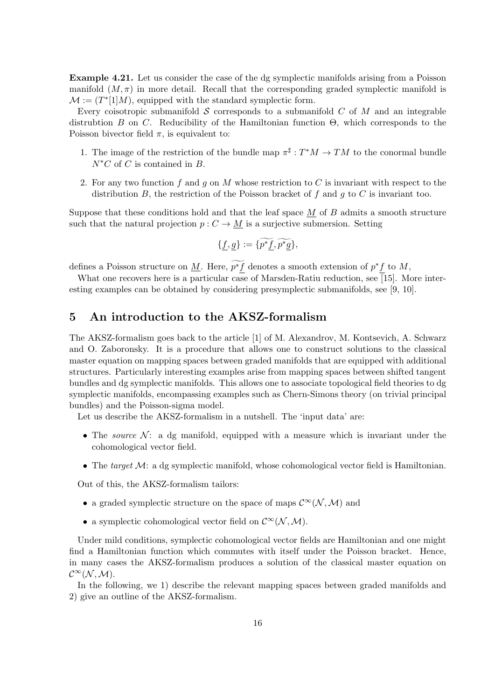Example 4.21. Let us consider the case of the dg symplectic manifolds arising from a Poisson manifold  $(M, \pi)$  in more detail. Recall that the corresponding graded symplectic manifold is  $\mathcal{M} := (T^*[1]M)$ , equipped with the standard symplectic form.

Every coisotropic submanifold  $S$  corresponds to a submanifold  $C$  of  $M$  and an integrable distrubtion B on C. Reducibility of the Hamiltonian function  $\Theta$ , which corresponds to the Poisson bivector field  $\pi$ , is equivalent to:

- 1. The image of the restriction of the bundle map  $\pi^{\sharp}: T^*M \to TM$  to the conormal bundle  $N^*C$  of C is contained in B.
- 2. For any two function f and q on M whose restriction to C is invariant with respect to the distribution B, the restriction of the Poisson bracket of f and g to C is invariant too.

Suppose that these conditions hold and that the leaf space  $\underline{M}$  of  $B$  admits a smooth structure such that the natural projection  $p: C \to M$  is a surjective submersion. Setting

$$
\{\underline{f},\underline{g}\}:=\{\widetilde{p^*f},\widetilde{p^*g}\},
$$

defines a Poisson structure on <u>M</u>. Here,  $p^*f$  denotes a smooth extension of  $p^*f$  to M,

What one recovers here is a particular case of Marsden-Ratiu reduction, see [15]. More interesting examples can be obtained by considering presymplectic submanifolds, see [9, 10].

## 5 An introduction to the AKSZ-formalism

The AKSZ-formalism goes back to the article [1] of M. Alexandrov, M. Kontsevich, A. Schwarz and O. Zaboronsky. It is a procedure that allows one to construct solutions to the classical master equation on mapping spaces between graded manifolds that are equipped with additional structures. Particularly interesting examples arise from mapping spaces between shifted tangent bundles and dg symplectic manifolds. This allows one to associate topological field theories to dg symplectic manifolds, encompassing examples such as Chern-Simons theory (on trivial principal bundles) and the Poisson-sigma model.

Let us describe the AKSZ-formalism in a nutshell. The 'input data' are:

- The source  $\mathcal{N}$ : a dg manifold, equipped with a measure which is invariant under the cohomological vector field.
- The target  $\mathcal{M}$ : a dg symplectic manifold, whose cohomological vector field is Hamiltonian.

Out of this, the AKSZ-formalism tailors:

- a graded symplectic structure on the space of maps  $\mathcal{C}^{\infty}(\mathcal{N},\mathcal{M})$  and
- $\bullet\,$  a symplectic cohomological vector field on  $\mathcal{C}^\infty (\mathcal{N},\mathcal{M}).$

Under mild conditions, symplectic cohomological vector fields are Hamiltonian and one might find a Hamiltonian function which commutes with itself under the Poisson bracket. Hence, in many cases the AKSZ-formalism produces a solution of the classical master equation on  $\mathcal{C}^{\infty}(\mathcal{N},\mathcal{M}).$ 

In the following, we 1) describe the relevant mapping spaces between graded manifolds and 2) give an outline of the AKSZ-formalism.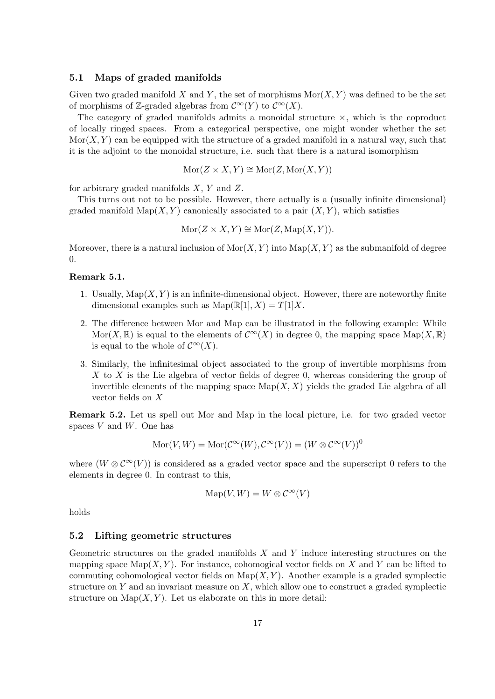### 5.1 Maps of graded manifolds

Given two graded manifold X and Y, the set of morphisms  $\text{Mor}(X, Y)$  was defined to be the set of morphisms of Z-graded algebras from  $\mathcal{C}^{\infty}(Y)$  to  $\mathcal{C}^{\infty}(X)$ .

The category of graded manifolds admits a monoidal structure  $\times$ , which is the coproduct of locally ringed spaces. From a categorical perspective, one might wonder whether the set  $Mor(X, Y)$  can be equipped with the structure of a graded manifold in a natural way, such that it is the adjoint to the monoidal structure, i.e. such that there is a natural isomorphism

$$
Mor(Z \times X, Y) \cong Mor(Z, Mor(X, Y))
$$

for arbitrary graded manifolds  $X, Y$  and  $Z$ .

This turns out not to be possible. However, there actually is a (usually infinite dimensional) graded manifold  $\text{Map}(X, Y)$  canonically associated to a pair  $(X, Y)$ , which satisfies

$$
Mor(Z \times X, Y) \cong Mor(Z, \mathrm{Map}(X, Y)).
$$

Moreover, there is a natural inclusion of  $\text{Mor}(X, Y)$  into  $\text{Map}(X, Y)$  as the submanifold of degree 0.

## Remark 5.1.

- 1. Usually,  $\text{Map}(X, Y)$  is an infinite-dimensional object. However, there are noteworthy finite dimensional examples such as  $\text{Map}(\mathbb{R}[1], X) = T[1]X$ .
- 2. The difference between Mor and Map can be illustrated in the following example: While Mor(X, R) is equal to the elements of  $\mathcal{C}^{\infty}(X)$  in degree 0, the mapping space Map(X, R) is equal to the whole of  $\mathcal{C}^{\infty}(X)$ .
- 3. Similarly, the infinitesimal object associated to the group of invertible morphisms from X to X is the Lie algebra of vector fields of degree  $0$ , whereas considering the group of invertible elements of the mapping space  $\mathrm{Map}(X, X)$  yields the graded Lie algebra of all vector fields on X

Remark 5.2. Let us spell out Mor and Map in the local picture, i.e. for two graded vector spaces  $V$  and  $W$ . One has

$$
Mor(V, W) = Mor(\mathcal{C}^{\infty}(W), \mathcal{C}^{\infty}(V)) = (W \otimes \mathcal{C}^{\infty}(V))^0
$$

where  $(W \otimes C^{\infty}(V))$  is considered as a graded vector space and the superscript 0 refers to the elements in degree 0. In contrast to this,

$$
\mathrm{Map}(V, W) = W \otimes C^{\infty}(V)
$$

holds

## 5.2 Lifting geometric structures

Geometric structures on the graded manifolds  $X$  and  $Y$  induce interesting structures on the mapping space  $\text{Map}(X, Y)$ . For instance, cohomogical vector fields on X and Y can be lifted to commuting cohomological vector fields on  $\mathrm{Map}(X, Y)$ . Another example is a graded symplectic structure on  $Y$  and an invariant measure on  $X$ , which allow one to construct a graded symplectic structure on  $\text{Map}(X, Y)$ . Let us elaborate on this in more detail: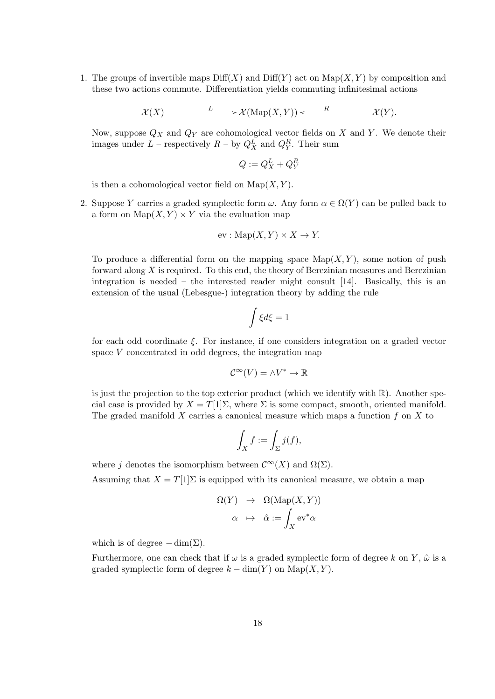1. The groups of invertible maps  $\text{Diff}(X)$  and  $\text{Diff}(Y)$  act on  $\text{Map}(X, Y)$  by composition and these two actions commute. Differentiation yields commuting infinitesimal actions

$$
\mathcal{X}(X) \longrightarrow L \longrightarrow \mathcal{X}(\mathrm{Map}(X,Y)) \longleftarrow R \longrightarrow \mathcal{X}(Y).
$$

Now, suppose  $Q_X$  and  $Q_Y$  are cohomological vector fields on X and Y. We denote their images under  $L$  – respectively  $R$  – by  $Q_X^L$  and  $Q_Y^R$ . Their sum

$$
Q := Q_X^L + Q_Y^R
$$

is then a cohomological vector field on  $\text{Map}(X, Y)$ .

2. Suppose Y carries a graded symplectic form  $\omega$ . Any form  $\alpha \in \Omega(Y)$  can be pulled back to a form on  $\text{Map}(X, Y) \times Y$  via the evaluation map

$$
ev: \mathrm{Map}(X, Y) \times X \to Y.
$$

To produce a differential form on the mapping space  $\text{Map}(X, Y)$ , some notion of push forward along X is required. To this end, the theory of Berezinian measures and Berezinian integration is needed – the interested reader might consult  $[14]$ . Basically, this is an extension of the usual (Lebesgue-) integration theory by adding the rule

$$
\int \xi d\xi = 1
$$

for each odd coordinate  $\xi$ . For instance, if one considers integration on a graded vector space V concentrated in odd degrees, the integration map

$$
\mathcal{C}^{\infty}(V) = \wedge V^* \to \mathbb{R}
$$

is just the projection to the top exterior product (which we identify with  $\mathbb{R}$ ). Another special case is provided by  $X = T[1]\Sigma$ , where  $\Sigma$  is some compact, smooth, oriented manifold. The graded manifold  $X$  carries a canonical measure which maps a function  $f$  on  $X$  to

$$
\int_X f := \int_{\Sigma} j(f),
$$

where j denotes the isomorphism between  $\mathcal{C}^{\infty}(X)$  and  $\Omega(\Sigma)$ .

Assuming that  $X = T[1]\Sigma$  is equipped with its canonical measure, we obtain a map

$$
\Omega(Y) \rightarrow \Omega(\text{Map}(X, Y))
$$

$$
\alpha \mapsto \hat{\alpha} := \int_X \text{ev}^*\alpha
$$

which is of degree  $-\dim(\Sigma)$ .

Furthermore, one can check that if  $\omega$  is a graded symplectic form of degree k on Y,  $\hat{\omega}$  is a graded symplectic form of degree  $k - \dim(Y)$  on  $\mathrm{Map}(X, Y)$ .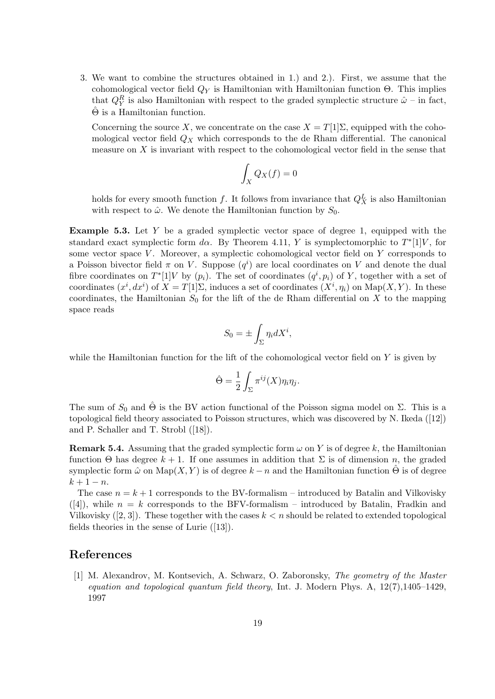3. We want to combine the structures obtained in 1.) and 2.). First, we assume that the cohomological vector field  $Q<sub>Y</sub>$  is Hamiltonian with Hamiltonian function  $\Theta$ . This implies that  $Q_Y^R$  is also Hamiltonian with respect to the graded symplectic structure  $\hat{\omega}$  – in fact,  $\Theta$  is a Hamiltonian function.

Concerning the source X, we concentrate on the case  $X = T[1]\Sigma$ , equipped with the cohomological vector field  $Q_X$  which corresponds to the de Rham differential. The canonical measure on  $X$  is invariant with respect to the cohomological vector field in the sense that

$$
\int_X Q_X(f) = 0
$$

holds for every smooth function f. It follows from invariance that  $Q_X^L$  is also Hamiltonian with respect to  $\hat{\omega}$ . We denote the Hamiltonian function by  $S_0$ .

**Example 5.3.** Let  $Y$  be a graded symplectic vector space of degree 1, equipped with the standard exact symplectic form d $\alpha$ . By Theorem 4.11, Y is symplectomorphic to  $T^*$ [1]V, for some vector space  $V$ . Moreover, a symplectic cohomological vector field on  $Y$  corresponds to a Poisson bivector field  $\pi$  on V. Suppose  $(q^i)$  are local coordinates on V and denote the dual fibre coordinates on  $T^*[1]V$  by  $(p_i)$ . The set of coordinates  $(q^i, p_i)$  of Y, together with a set of coordinates  $(x^i, dx^i)$  of  $X = T[1]\Sigma$ , induces a set of coordinates  $(X^i, \eta_i)$  on  $\text{Map}(X, Y)$ . In these coordinates, the Hamiltonian  $S_0$  for the lift of the de Rham differential on X to the mapping space reads

$$
S_0 = \pm \int_{\Sigma} \eta_i dX^i,
$$

while the Hamiltonian function for the lift of the cohomological vector field on  $Y$  is given by

$$
\hat{\Theta} = \frac{1}{2} \int_{\Sigma} \pi^{ij}(X) \eta_i \eta_j.
$$

The sum of  $S_0$  and  $\hat{\Theta}$  is the BV action functional of the Poisson sigma model on  $\Sigma$ . This is a topological field theory associated to Poisson structures, which was discovered by N. Ikeda ([12]) and P. Schaller and T. Strobl ([18]).

**Remark 5.4.** Assuming that the graded symplectic form  $\omega$  on Y is of degree k, the Hamiltonian function Θ has degree  $k + 1$ . If one assumes in addition that Σ is of dimension n, the graded symplectic form  $\hat{\omega}$  on  $\text{Map}(X, Y)$  is of degree  $k - n$  and the Hamiltonian function  $\hat{\Theta}$  is of degree  $k + 1 - n$ .

The case  $n = k + 1$  corresponds to the BV-formalism – introduced by Batalin and Vilkovisky  $([4])$ , while  $n = k$  corresponds to the BFV-formalism – introduced by Batalin, Fradkin and Vilkovisky ([2, 3]). These together with the cases  $k < n$  should be related to extended topological fields theories in the sense of Lurie ([13]).

## References

[1] M. Alexandrov, M. Kontsevich, A. Schwarz, O. Zaboronsky, The geometry of the Master equation and topological quantum field theory, Int. J. Modern Phys. A,  $12(7)$ ,  $1405-1429$ , 1997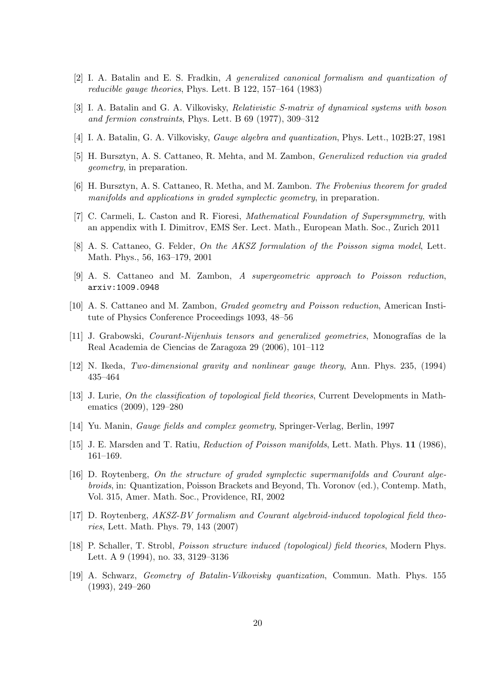- [2] I. A. Batalin and E. S. Fradkin, A generalized canonical formalism and quantization of reducible gauge theories, Phys. Lett. B 122, 157–164 (1983)
- [3] I. A. Batalin and G. A. Vilkovisky, Relativistic S-matrix of dynamical systems with boson and fermion constraints, Phys. Lett. B 69 (1977), 309–312
- [4] I. A. Batalin, G. A. Vilkovisky, *Gauge algebra and quantization*, Phys. Lett., 102B:27, 1981
- [5] H. Bursztyn, A. S. Cattaneo, R. Mehta, and M. Zambon, Generalized reduction via graded geometry, in preparation.
- [6] H. Bursztyn, A. S. Cattaneo, R. Metha, and M. Zambon. The Frobenius theorem for graded manifolds and applications in graded symplectic geometry, in preparation.
- [7] C. Carmeli, L. Caston and R. Fioresi, Mathematical Foundation of Supersymmetry, with an appendix with I. Dimitrov, EMS Ser. Lect. Math., European Math. Soc., Zurich 2011
- [8] A. S. Cattaneo, G. Felder, On the AKSZ formulation of the Poisson sigma model, Lett. Math. Phys., 56, 163–179, 2001
- [9] A. S. Cattaneo and M. Zambon, A supergeometric approach to Poisson reduction, arxiv:1009.0948
- [10] A. S. Cattaneo and M. Zambon, Graded geometry and Poisson reduction, American Institute of Physics Conference Proceedings 1093, 48–56
- [11] J. Grabowski, *Courant-Nijenhuis tensors and generalized geometries*, Monografías de la Real Academia de Ciencias de Zaragoza 29 (2006), 101–112
- [12] N. Ikeda, Two-dimensional gravity and nonlinear gauge theory, Ann. Phys. 235, (1994) 435–464
- [13] J. Lurie, On the classification of topological field theories, Current Developments in Mathematics (2009), 129–280
- [14] Yu. Manin, Gauge fields and complex geometry, Springer-Verlag, Berlin, 1997
- [15] J. E. Marsden and T. Ratiu, Reduction of Poisson manifolds, Lett. Math. Phys. 11 (1986), 161–169.
- [16] D. Roytenberg, On the structure of graded symplectic supermanifolds and Courant algebroids, in: Quantization, Poisson Brackets and Beyond, Th. Voronov (ed.), Contemp. Math, Vol. 315, Amer. Math. Soc., Providence, RI, 2002
- [17] D. Roytenberg, AKSZ-BV formalism and Courant algebroid-induced topological field theories, Lett. Math. Phys. 79, 143 (2007)
- [18] P. Schaller, T. Strobl, Poisson structure induced (topological) field theories, Modern Phys. Lett. A 9 (1994), no. 33, 3129–3136
- [19] A. Schwarz, Geometry of Batalin-Vilkovisky quantization, Commun. Math. Phys. 155 (1993), 249–260